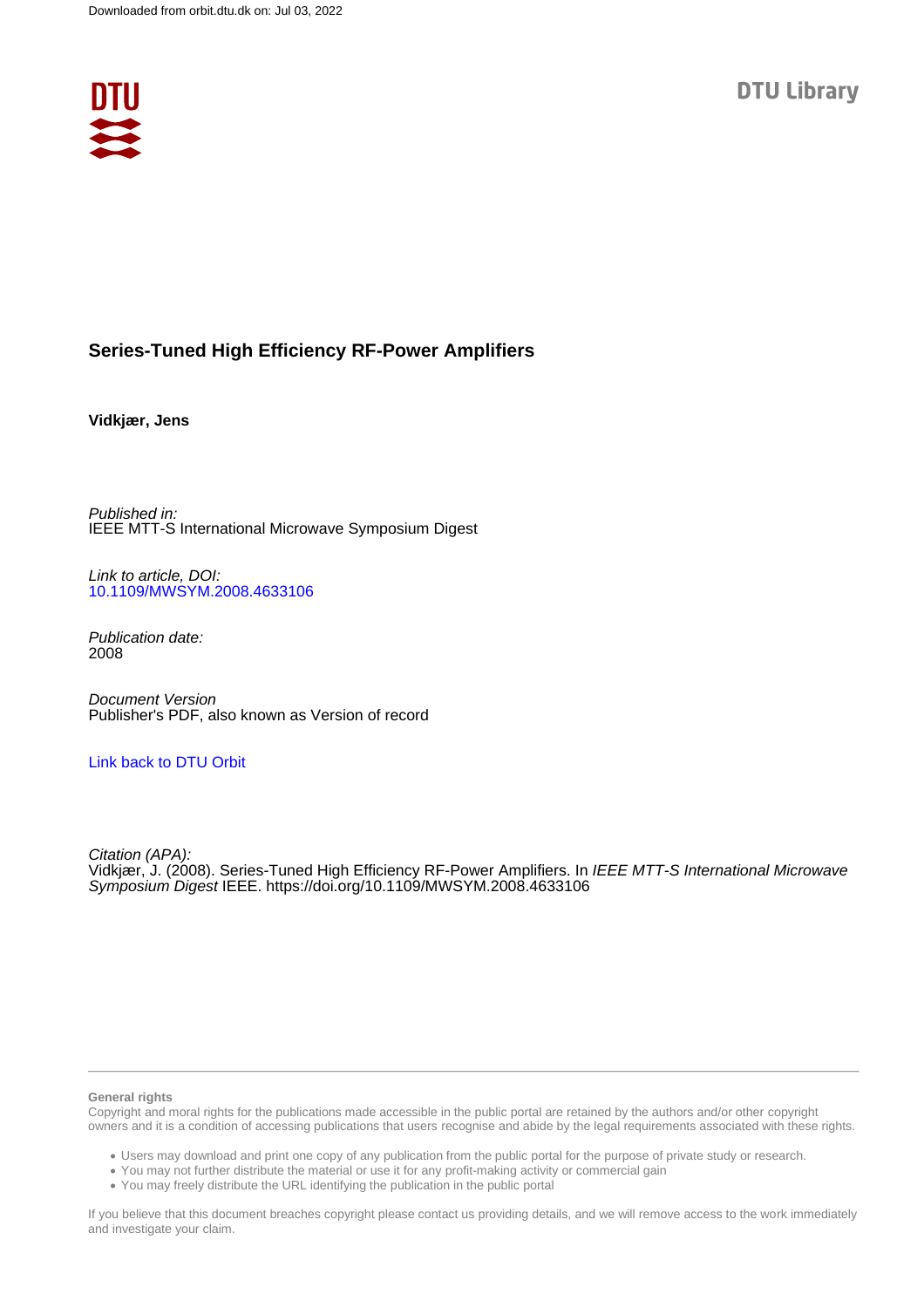

## **Series-Tuned High Efficiency RF-Power Amplifiers**

### **Vidkjær, Jens**

Published in: IEEE MTT-S International Microwave Symposium Digest

Link to article, DOI: [10.1109/MWSYM.2008.4633106](https://doi.org/10.1109/MWSYM.2008.4633106)

Publication date: 2008

Document Version Publisher's PDF, also known as Version of record

## [Link back to DTU Orbit](https://orbit.dtu.dk/en/publications/31b66d48-477c-4e21-aa0c-7c9c5c4df91f)

Citation (APA): Vidkjær, J. (2008). Series-Tuned High Efficiency RF-Power Amplifiers. In IEEE MTT-S International Microwave Symposium Digest IEEE.<https://doi.org/10.1109/MWSYM.2008.4633106>

#### **General rights**

Copyright and moral rights for the publications made accessible in the public portal are retained by the authors and/or other copyright owners and it is a condition of accessing publications that users recognise and abide by the legal requirements associated with these rights.

Users may download and print one copy of any publication from the public portal for the purpose of private study or research.

- You may not further distribute the material or use it for any profit-making activity or commercial gain
- You may freely distribute the URL identifying the publication in the public portal

If you believe that this document breaches copyright please contact us providing details, and we will remove access to the work immediately and investigate your claim.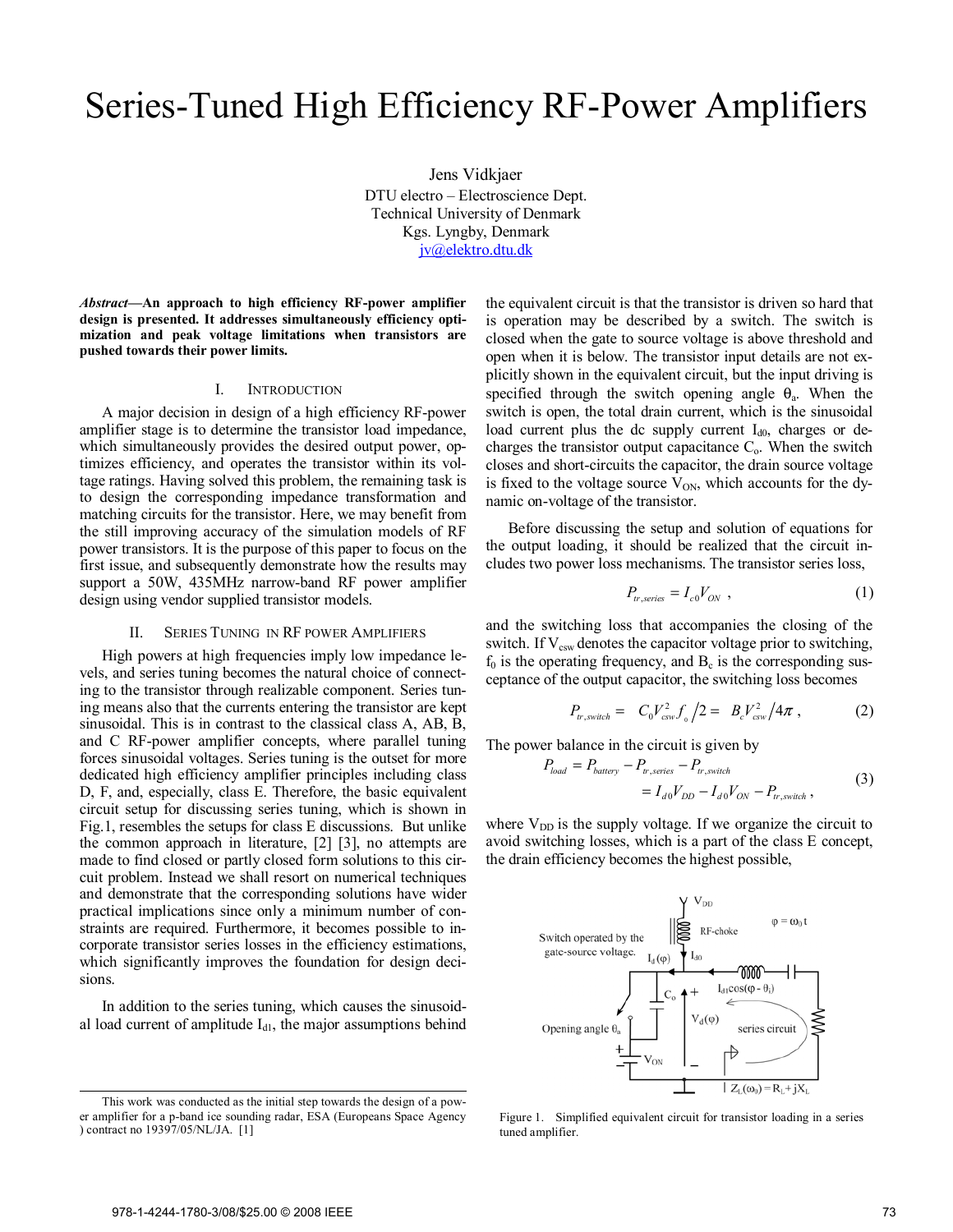# Series-Tuned High Efficiency RF-Power Amplifiers

Jens Vidkjaer DTU electro – Electroscience Dept. Technical University of Denmark Kgs. Lyngby, Denmark jv@elektro.dtu.dk

*Abstract***—An approach to high efficiency RF-power amplifier design is presented. It addresses simultaneously efficiency optimization and peak voltage limitations when transistors are pushed towards their power limits.** 

#### I. INTRODUCTION

A major decision in design of a high efficiency RF-power amplifier stage is to determine the transistor load impedance, which simultaneously provides the desired output power, optimizes efficiency, and operates the transistor within its voltage ratings. Having solved this problem, the remaining task is to design the corresponding impedance transformation and matching circuits for the transistor. Here, we may benefit from the still improving accuracy of the simulation models of RF power transistors. It is the purpose of this paper to focus on the first issue, and subsequently demonstrate how the results may support a 50W, 435MHz narrow-band RF power amplifier design using vendor supplied transistor models.

#### II. SERIES TUNING IN RF POWER AMPLIFIERS

High powers at high frequencies imply low impedance levels, and series tuning becomes the natural choice of connecting to the transistor through realizable component. Series tuning means also that the currents entering the transistor are kept sinusoidal. This is in contrast to the classical class A, AB, B, and C RF-power amplifier concepts, where parallel tuning forces sinusoidal voltages. Series tuning is the outset for more dedicated high efficiency amplifier principles including class D, F, and, especially, class E. Therefore, the basic equivalent circuit setup for discussing series tuning, which is shown in Fig.1, resembles the setups for class E discussions. But unlike the common approach in literature, [2] [3], no attempts are made to find closed or partly closed form solutions to this circuit problem. Instead we shall resort on numerical techniques and demonstrate that the corresponding solutions have wider practical implications since only a minimum number of constraints are required. Furthermore, it becomes possible to incorporate transistor series losses in the efficiency estimations, which significantly improves the foundation for design decisions.

In addition to the series tuning, which causes the sinusoidal load current of amplitude  $I_{d1}$ , the major assumptions behind

This work was conducted as the initial step towards the design of a power amplifier for a p-band ice sounding radar, ESA (Europeans Space Agency ) contract no 19397/05/NL/JA. [1]

the equivalent circuit is that the transistor is driven so hard that is operation may be described by a switch. The switch is closed when the gate to source voltage is above threshold and open when it is below. The transistor input details are not explicitly shown in the equivalent circuit, but the input driving is specified through the switch opening angle  $\theta_a$ . When the switch is open, the total drain current, which is the sinusoidal load current plus the dc supply current  $I_{d0}$ , charges or decharges the transistor output capacitance  $C<sub>o</sub>$ . When the switch closes and short-circuits the capacitor, the drain source voltage is fixed to the voltage source  $V_{ON}$ , which accounts for the dynamic on-voltage of the transistor.

Before discussing the setup and solution of equations for the output loading, it should be realized that the circuit includes two power loss mechanisms. The transistor series loss,

$$
P_{tr,series} = I_{c0} V_{ON} , \qquad (1)
$$

and the switching loss that accompanies the closing of the switch. If  $V_{\text{csw}}$  denotes the capacitor voltage prior to switching,  $f_0$  is the operating frequency, and  $B_c$  is the corresponding susceptance of the output capacitor, the switching loss becomes

$$
P_{tr,switch} = C_0 V_{csw}^2 f_0 / 2 = B_c V_{csw}^2 / 4\pi , \qquad (2)
$$

The power balance in the circuit is given by

$$
P_{load} = P_{battery} - P_{tr, series} - P_{tr, switch}
$$
  
=  $I_{d0}V_{DD} - I_{d0}V_{ON} - P_{tr, switch}$ , (3)

where  $V_{DD}$  is the supply voltage. If we organize the circuit to avoid switching losses, which is a part of the class E concept, the drain efficiency becomes the highest possible,



Figure 1. Simplified equivalent circuit for transistor loading in a series tuned amplifier.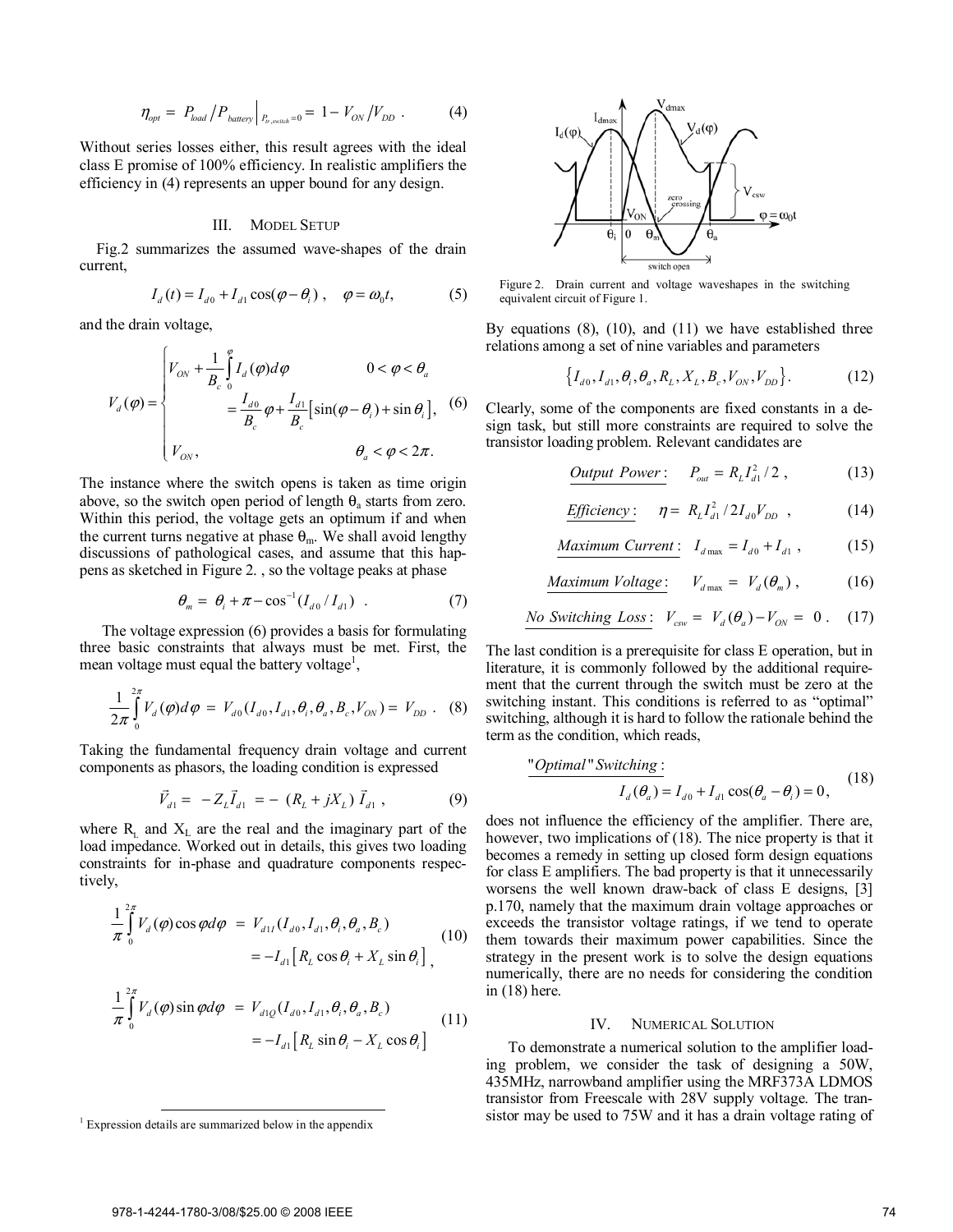$$
\eta_{opt} = P_{load} / P_{batter} |_{P_{tr,switch}=0} = 1 - V_{ON} / V_{DD} . \tag{4}
$$

Without series losses either, this result agrees with the ideal class E promise of 100% efficiency. In realistic amplifiers the efficiency in (4) represents an upper bound for any design.

#### III. MODEL SETUP

Fig.2 summarizes the assumed wave-shapes of the drain current,

$$
I_d(t) = I_{d0} + I_{d1} \cos(\varphi - \theta_i), \quad \varphi = \omega_0 t,\tag{5}
$$

and the drain voltage,

$$
V_d(\varphi) = \begin{cases} V_{ON} + \frac{1}{B_c} \int_0^{\varphi} I_d(\varphi) d\varphi & 0 < \varphi < \theta_a \\ = \frac{I_{d0}}{B_c} \varphi + \frac{I_{d1}}{B_c} \left[ \sin(\varphi - \theta_i) + \sin \theta_i \right], & (6) \\ V_{ON}, & \theta_a < \varphi < 2\pi. \end{cases}
$$

The instance where the switch opens is taken as time origin above, so the switch open period of length  $\theta_a$  starts from zero. Within this period, the voltage gets an optimum if and when the current turns negative at phase  $\theta_{m}$ . We shall avoid lengthy discussions of pathological cases, and assume that this happens as sketched in Figure 2. , so the voltage peaks at phase

$$
\theta_m = \theta_i + \pi - \cos^{-1}(I_{d0}/I_{d1}) \quad . \tag{7}
$$

The voltage expression (6) provides a basis for formulating three basic constraints that always must be met. First, the mean voltage must equal the battery voltage<sup>1</sup>,

$$
\frac{1}{2\pi} \int_{0}^{2\pi} V_d(\varphi) d\varphi = V_{d0}(I_{d0}, I_{d1}, \theta_i, \theta_a, B_c, V_{ON}) = V_{DD}.
$$
 (8)

Taking the fundamental frequency drain voltage and current components as phasors, the loading condition is expressed

$$
\vec{V}_{d1} = -Z_L \vec{I}_{d1} = - (R_L + jX_L) \vec{I}_{d1}, \qquad (9)
$$

where  $R<sub>L</sub>$  and  $X<sub>L</sub>$  are the real and the imaginary part of the load impedance. Worked out in details, this gives two loading constraints for in-phase and quadrature components respectively,

$$
\frac{1}{\pi} \int_{0}^{2\pi} V_d(\varphi) \cos \varphi d\varphi = V_{d1} (I_{d0}, I_{d1}, \theta_i, \theta_a, B_c)
$$
\n
$$
= -I_{d1} [R_L \cos \theta_i + X_L \sin \theta_i],
$$
\n(10)

$$
\frac{1}{\pi} \int_{0}^{2\pi} V_d(\varphi) \sin \varphi d\varphi = V_{d1Q}(I_{d0}, I_{d1}, \theta_i, \theta_a, B_c)
$$
\n
$$
= -I_{d1} [R_L \sin \theta_i - X_L \cos \theta_i]
$$
\n(11)



Figure 2. Drain current and voltage waveshapes in the switching equivalent circuit of Figure 1.

By equations  $(8)$ ,  $(10)$ , and  $(11)$  we have established three relations among a set of nine variables and parameters

$$
\left\{I_{d0}, I_{d1}, \theta_i, \theta_a, R_L, X_L, B_c, V_{ON}, V_{DD}\right\}.
$$
 (12)

Clearly, some of the components are fixed constants in a design task, but still more constraints are required to solve the transistor loading problem. Relevant candidates are

*Output Power*: 
$$
P_{out} = R_{L} I_{d1}^{2} / 2
$$
, (13)

$$
Efficiency: \quad \eta = R_L I_{d1}^2 / 2I_{d0} V_{DD} \quad , \tag{14}
$$

$$
\underline{Maximum \ Current:}\quad I_{d\max} = I_{d0} + I_{d1} \,,\tag{15}
$$

$$
Maximum Voltage: V_{dmax} = V_d(\theta_m), \qquad (16)
$$

No Switching Loss: 
$$
V_{csw} = V_d(\theta_a) - V_{ON} = 0
$$
. (17)

The last condition is a prerequisite for class E operation, but in literature, it is commonly followed by the additional requirement that the current through the switch must be zero at the switching instant. This conditions is referred to as "optimal" switching, although it is hard to follow the rationale behind the term as the condition, which reads,

"Optimal" Switching :  
\n
$$
I_d(\theta_a) = I_{d0} + I_{d1} \cos(\theta_a - \theta_i) = 0,
$$
\n(18)

does not influence the efficiency of the amplifier. There are, however, two implications of (18). The nice property is that it becomes a remedy in setting up closed form design equations for class E amplifiers. The bad property is that it unnecessarily worsens the well known draw-back of class E designs, [3] p.170, namely that the maximum drain voltage approaches or exceeds the transistor voltage ratings, if we tend to operate them towards their maximum power capabilities. Since the strategy in the present work is to solve the design equations numerically, there are no needs for considering the condition in (18) here.

#### IV. NUMERICAL SOLUTION

To demonstrate a numerical solution to the amplifier loading problem, we consider the task of designing a 50W, 435MHz, narrowband amplifier using the MRF373A LDMOS transistor from Freescale with 28V supply voltage. The transistor may be used to 75W and it has a drain voltage rating of

<sup>&</sup>lt;sup>1</sup> Expression details are summarized below in the appendix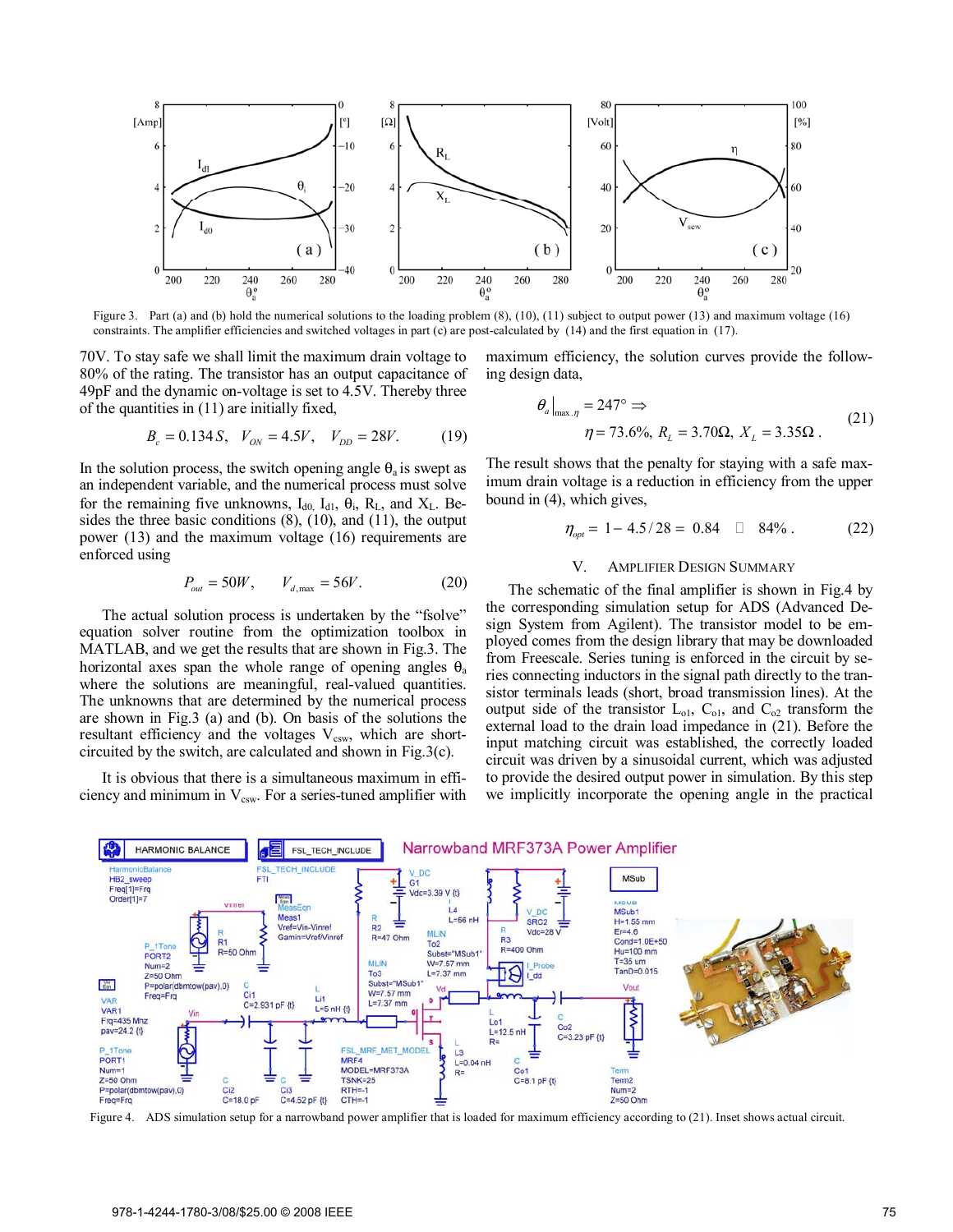

Figure 3. Part (a) and (b) hold the numerical solutions to the loading problem (8), (10), (11) subject to output power (13) and maximum voltage (16) constraints. The amplifier efficiencies and switched voltages in part (c) are post-calculated by (14) and the first equation in (17).

70V. To stay safe we shall limit the maximum drain voltage to 80% of the rating. The transistor has an output capacitance of 49pF and the dynamic on-voltage is set to 4.5V. Thereby three of the quantities in (11) are initially fixed,

$$
B_c = 0.134 S, V_{ON} = 4.5V, V_{DD} = 28V. \tag{19}
$$

In the solution process, the switch opening angle  $\theta_a$  is swept as an independent variable, and the numerical process must solve for the remaining five unknowns,  $I_{d0}$ ,  $I_{d1}$ ,  $\theta_i$ ,  $R_L$ , and  $X_L$ . Besides the three basic conditions (8), (10), and (11), the output power (13) and the maximum voltage (16) requirements are enforced using

$$
P_{out} = 50W, \t V_{d, \text{max}} = 56V. \t (20)
$$

The actual solution process is undertaken by the "fsolve" equation solver routine from the optimization toolbox in MATLAB, and we get the results that are shown in Fig.3. The horizontal axes span the whole range of opening angles  $\theta_a$ where the solutions are meaningful, real-valued quantities. The unknowns that are determined by the numerical process are shown in Fig.3 (a) and (b). On basis of the solutions the resultant efficiency and the voltages  $V_{csw}$ , which are shortcircuited by the switch, are calculated and shown in Fig.3(c).

It is obvious that there is a simultaneous maximum in efficiency and minimum in  $V_{csw}$ . For a series-tuned amplifier with maximum efficiency, the solution curves provide the following design data,

$$
\left.\frac{\theta_a\big|_{\max.\eta} = 247^\circ \Rightarrow}{\eta = 73.6\%,\ R_L = 3.70\Omega,\ X_L = 3.35\Omega}.\right\}
$$
 (21)

The result shows that the penalty for staying with a safe maximum drain voltage is a reduction in efficiency from the upper bound in (4), which gives,

 $\eta_{opt} = 1 - 4.5/28 = 0.84$   $\Box$  84% . (22)

#### V. AMPLIFIER DESIGN SUMMARY

The schematic of the final amplifier is shown in Fig.4 by the corresponding simulation setup for ADS (Advanced Design System from Agilent). The transistor model to be employed comes from the design library that may be downloaded from Freescale. Series tuning is enforced in the circuit by series connecting inductors in the signal path directly to the transistor terminals leads (short, broad transmission lines). At the output side of the transistor  $L_{o1}$ ,  $C_{o1}$ , and  $C_{o2}$  transform the external load to the drain load impedance in (21). Before the input matching circuit was established, the correctly loaded circuit was driven by a sinusoidal current, which was adjusted to provide the desired output power in simulation. By this step we implicitly incorporate the opening angle in the practical



Figure 4. ADS simulation setup for a narrowband power amplifier that is loaded for maximum efficiency according to (21). Inset shows actual circuit.